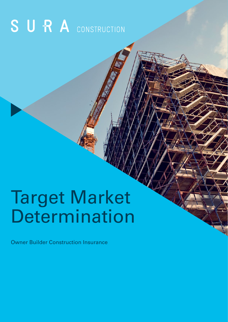# SURA CONSTRUCTION

# Target Market Determination

Owner Builder Construction Insurance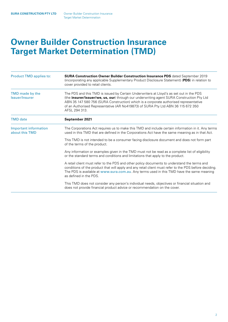## **Owner Builder Construction Insurance Target Market Determination (TMD)**

| <b>Product TMD applies to:</b>          | SURA Construction Owner Builder Construction Insurance PDS dated September 2019<br>(incorporating any applicable Supplementary Product Disclosure Statement) (PDS) in relation to<br>cover provided to retail clients.                                                                                                                                                             |  |
|-----------------------------------------|------------------------------------------------------------------------------------------------------------------------------------------------------------------------------------------------------------------------------------------------------------------------------------------------------------------------------------------------------------------------------------|--|
| TMD made by the<br>Issuer/Insurer       | The PDS and this TMD is issued by Certain Underwriters at Lloyd's as set out in the PDS<br>(the insurer/issuer/we, us, our) through our underwriting agent SURA Construction Pty Ltd<br>ABN 35 147 580 756 (SURA Construction) which is a corporate authorised representative<br>of an Authorised Representative (AR No419873) of SURA Pty Ltd ABN 36 115 672 350<br>AFSL 294 313. |  |
| <b>TMD</b> date                         | September 2021                                                                                                                                                                                                                                                                                                                                                                     |  |
| Important information<br>about this TMD | The Corporations Act requires us to make this TMD and include certain information in it. Any terms<br>used in this TMD that are defined in the Corporations Act have the same meaning as in that Act.                                                                                                                                                                              |  |
|                                         | This TMD is not intended to be a consumer facing disclosure document and does not form part<br>of the terms of the product.                                                                                                                                                                                                                                                        |  |
|                                         | Any information or examples given in the TMD must not be read as a complete list of eligibility<br>or the standard terms and conditions and limitations that apply to the product.                                                                                                                                                                                                 |  |
|                                         | A retail client must refer to the PDS and other policy documents to understand the terms and<br>conditions of the product that will apply and any retail client must refer to the PDS before deciding.<br>The PDS is available at www.sura.com.au. Any terms used in this TMD have the same meaning<br>as defined in the PDS.                                                      |  |
|                                         | This TMD does not consider any person's individual needs, objectives or financial situation and<br>does not provide financial product advice or recommendation on the cover.                                                                                                                                                                                                       |  |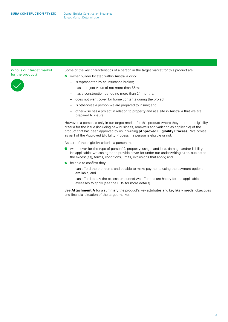#### Who is our target market for the product?



Some of the key characteristics of a person in the target market for this product are:

- **O** owner builder located within Australia who:
	- is represented by an insurance broker;
	- has a project value of not more than \$5m;
	- has a construction period no more than 24 months;
	- does not want cover for home contents during the project;
	- is otherwise a person we are prepared to insure; and
	- otherwise has a project in relation to property and at a site in Australia that we are prepared to insure.

However, a person is only in our target market for this product where they meet the eligibility criteria for the issue (including new business, renewals and variation as applicable) of the product that has been approved by us in writing (**Approved Eligibility Process**). We advise as part of the Approved Eligibility Process if a person is eligible or not.

As part of the eligibility criteria, a person must:

- want cover for the type of person(s), property; usage; and loss, damage and/or liability, (as applicable) we can agree to provide cover for under our underwriting rules, subject to the excess(es), terms, conditions, limits, exclusions that apply; and
- be able to confirm they:
	- can afford the premiums and be able to make payments using the payment options available; and
	- can afford to pay the excess amount(s) we offer and are happy for the applicable excesses to apply (see the PDS for more details).

See **Attachment A** for a summary the product's key attributes and key likely needs, objectives and financial situation of the target market.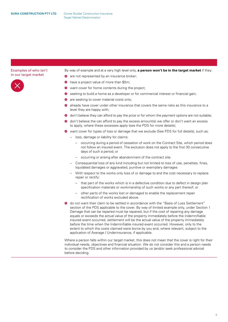#### Examples of who isn't in our target market



By way of example and at a very high level only, **a person won't be in the target market** if they:

- are not represented by an insurance broker;
- have a project value of more than \$5m;
- want cover for home contents during the project;
- So seeking to build a home as a developer or for commercial interest or financial gain;
- are seeking to cover material costs only;
- $\bullet$  already have cover under other insurance that covers the same risks as this insurance to a level they are happy with;
- **O** don't believe they can afford to pay the price or for whom the payment options are not suitable;
- don't believe the can afford to pay the excess amount(s) we offer or don't want an excess to apply, where these excesses apply (see the PDS for more details);
- $\bullet$  want cover for types of loss or damage that we exclude (See PDS for full details), such as:
	- loss, damage or liability for claims:
		- occurring during a period of cessation of work on the Contract Site, which period does not follow an insured event. The exclusion does not apply to the first 30 consecutive days of such a period; or
		- occurring or arising after abandonment of the contract site.
	- Consequential loss of any kind including but not limited to loss of use, penalties, fines, liquidated damages or aggravated, punitive or exemplary damages
	- With respect to the works only loss of or damage to and the cost necessary to replace repair or rectify:
		- that part of the works which is in a defective condition due to defect in design plan specification materials or workmanship of such works or any part thereof; or
		- other parts of the works lost or damaged to enable the replacement repair rectification of works excluded above.
- $\bullet$  do not want their claim to be settled in accordance with the "Basis of Loss Settlement" section of the PDS applicable to the cover. By way of limited example only, under Section 1 Damage that can be repaired must be repaired, but if the cost of repairing any damage equals or exceeds the actual value of the property immediately before the Indemnifiable insured event occurred, settlement will be the actual value of the property immediately before the time when the Indemnifiable insured event occurred. However, only to the extent to which the costs claimed were borne by you and, where relevant, subject to the application of Average / Underinsurance, if applicable.

Where a person falls within our target market, this does not mean that the cover is right for their individual needs, objectives and financial situation. We do not consider this and a person needs to consider the PDS and other information provided by us (and/or seek professional advice) before deciding.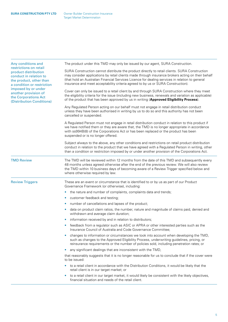| Any conditions and                                                                                                                                                                                                                    | The product under this TMD may only be issued by our agent, SURA Construction.                                                                                                                                                                                                                                                                                                            |  |  |
|---------------------------------------------------------------------------------------------------------------------------------------------------------------------------------------------------------------------------------------|-------------------------------------------------------------------------------------------------------------------------------------------------------------------------------------------------------------------------------------------------------------------------------------------------------------------------------------------------------------------------------------------|--|--|
| restrictions on retail<br>product distribution<br>conduct in relation to<br>the product, other than<br>a condition or restriction<br>imposed by or under<br>another provision of<br>the Corporations Act<br>(Distribution Conditions) | SURA Construction cannot distribute the product directly to retail clients. SURA Construction<br>may consider applications by retail clients made through insurance brokers acting on their behalf<br>(that hold an Australian Financial Services Licence for dealing services in relation to general<br>insurance and meet acceptability criteria agreed to by us or SURA Construction). |  |  |
|                                                                                                                                                                                                                                       | Cover can only be issued to a retail client by and through SURA Construction where they meet<br>the eligibility criteria for the issue (including new business, renewals and variation as applicable)<br>of the product that has been approved by us in writing (Approved Eligibility Process).                                                                                           |  |  |
|                                                                                                                                                                                                                                       | Any Regulated Person acting on our behalf must not engage in retail distribution conduct<br>unless they have been authorised in writing by us to do so and this authority has not been<br>cancelled or suspended.                                                                                                                                                                         |  |  |
|                                                                                                                                                                                                                                       | A Regulated Person must not engage in retail distribution conduct in relation to this product if<br>we have notified them or they are aware that, the TMD is no longer appropriate in accordance<br>with ss994B(8) of the Corporations Act or has been replaced or the product has been<br>suspended or is no longer offered.                                                             |  |  |
|                                                                                                                                                                                                                                       | Subject always to the above, any other conditions and restrictions on retail product distribution<br>conduct in relation to the product that we have agreed with a Regulated Person in writing, other<br>than a condition or restriction imposed by or under another provision of the Corporations Act.                                                                                   |  |  |
| <b>TMD Review</b>                                                                                                                                                                                                                     | The TMD will be reviewed within 12 months from the date of this TMD and subsequently every<br>48 months unless agreed otherwise after the end of the previous review. We will also review<br>the TMD within 10 business days of becoming aware of a Review Trigger specified below and<br>where otherwise required by law.                                                                |  |  |
| <b>Review Triggers</b>                                                                                                                                                                                                                | These are an event or circumstance that is identified to or by us as part of our Product<br>Governance Framework (or otherwise), including:                                                                                                                                                                                                                                               |  |  |
|                                                                                                                                                                                                                                       | the nature and number of complaints, complaints data and trends;<br>$\bullet$                                                                                                                                                                                                                                                                                                             |  |  |
|                                                                                                                                                                                                                                       | customer feedback and testing;<br>۰                                                                                                                                                                                                                                                                                                                                                       |  |  |
|                                                                                                                                                                                                                                       | number of cancellations and lapses of the product;                                                                                                                                                                                                                                                                                                                                        |  |  |
|                                                                                                                                                                                                                                       | data on product claim ratios, the number, nature and magnitude of claims paid, denied and<br>٠<br>withdrawn and average claim duration;                                                                                                                                                                                                                                                   |  |  |
|                                                                                                                                                                                                                                       | information received by and in relation to distributors;<br>$\bullet$                                                                                                                                                                                                                                                                                                                     |  |  |
|                                                                                                                                                                                                                                       | feedback from a regulator such as ASIC or APRA or other interested parties such as the<br>$\bullet$<br>Insurance Council of Australia and Code Governance Committee;                                                                                                                                                                                                                      |  |  |
|                                                                                                                                                                                                                                       | changes to information or circumstances we took into account when developing the TMD,<br>such as changes to the Approved Eligibility Process, underwriting guidelines, pricing, or<br>reinsurance requirements or the number of policies sold, including penetration rates; or                                                                                                            |  |  |
|                                                                                                                                                                                                                                       | any significant dealings that are inconsistent with the TMD,<br>$\bullet$                                                                                                                                                                                                                                                                                                                 |  |  |
|                                                                                                                                                                                                                                       | that reasonably suggests that it is no longer reasonable for us to conclude that if the cover were<br>to be issued:                                                                                                                                                                                                                                                                       |  |  |
|                                                                                                                                                                                                                                       | to a retail client in accordance with the Distribution Conditions, it would be likely that the<br>retail client is in our target market; or                                                                                                                                                                                                                                               |  |  |
|                                                                                                                                                                                                                                       |                                                                                                                                                                                                                                                                                                                                                                                           |  |  |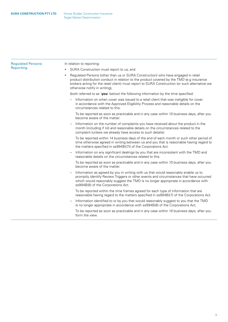| <b>Regulated Persons</b> | In relation to reporting:                                                                                                                                                                                                                                                                                                      |  |
|--------------------------|--------------------------------------------------------------------------------------------------------------------------------------------------------------------------------------------------------------------------------------------------------------------------------------------------------------------------------|--|
| Reporting                | SURA Construction must report to us; and<br>$\bullet$                                                                                                                                                                                                                                                                          |  |
|                          | Regulated Persons (other than us or SURA Construction) who have engaged in retail<br>$\bullet$<br>product distribution conduct in relation to the product covered by the TMD (e.g insurance<br>brokers acting for the retail client) must report to SURA Construction (or such alternative we<br>otherwise notify in writing), |  |
|                          | (both referred to as 'you' below) the following information by the time specified:                                                                                                                                                                                                                                             |  |
|                          | Information on when cover was issued to a retail client that was ineligible for cover<br>in accordance with the Approved Eligibility Process and reasonable details on the<br>circumstances related to this.                                                                                                                   |  |
|                          | To be reported as soon as practicable and in any case within 10 business days, after you<br>become aware of the matter.                                                                                                                                                                                                        |  |
|                          | Information on the number of complaints you have received about the product in the<br>month (including if nil) and reasonable details on the circumstances related to the<br>complaint (unless we already have access to such details).                                                                                        |  |
|                          | To be reported within 14 business days of the end of each month or such other period of<br>time otherwise agreed in writing between us and you that is reasonable having regard to<br>the matters specified in ss994B((7)) of the Corporations Act.                                                                            |  |
|                          | Information on any significant dealings by you that are inconsistent with the TMD and<br>reasonable details on the circumstances related to this.                                                                                                                                                                              |  |
|                          | To be reported as soon as practicable and in any case within 10 business days, after you<br>become aware of the matter.                                                                                                                                                                                                        |  |
|                          | Information as agreed by you in writing with us that would reasonably enable us to<br>promptly identify Review Triggers or other events and circumstances that have occurred<br>which would reasonably suggest the TMD is no longer appropriate in accordance with<br>ss994B(8) of the Corporations Act.                       |  |
|                          | To be reported within the time frames agreed for each type of information that are<br>reasonable having regard to the matters specified in ss994B((7) of the Corporations Act.                                                                                                                                                 |  |
|                          | Information identified to or by you that would reasonably suggest to you that the TMD<br>is no longer appropriate in accordance with ss994B(8) of the Corporations Act.                                                                                                                                                        |  |
|                          | To be reported as soon as practicable and in any case within 10 business days, after you<br>form the view.                                                                                                                                                                                                                     |  |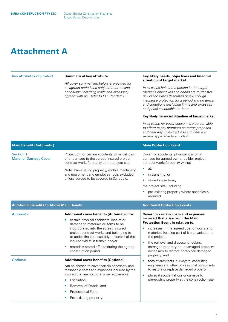## **Attachment A**

| Key attributes of product                        | <b>Summary of key attribute</b><br>All cover summarised below is provided for<br>an agreed period and subject to terms and<br>conditions (including limits and excesses)<br>agreed with us. Refer to PDS for detail.                                                                                                                                                     | Key likely needs, objectives and financial<br>situation of target market<br>In all cases below the person in the target<br>market's objectives and needs are to transfer<br>risk of the types described below though<br>insurance protection for a period and on terms<br>and conditions (including limits and excesses<br>and price) acceptable to them.<br>Key likely Financial Situation of target market<br>In all cases for cover chosen, is a person able<br>to afford to pay premium on terms proposed<br>and bear any uninsured loss and bear any<br>excess applicable to any claim. |
|--------------------------------------------------|--------------------------------------------------------------------------------------------------------------------------------------------------------------------------------------------------------------------------------------------------------------------------------------------------------------------------------------------------------------------------|----------------------------------------------------------------------------------------------------------------------------------------------------------------------------------------------------------------------------------------------------------------------------------------------------------------------------------------------------------------------------------------------------------------------------------------------------------------------------------------------------------------------------------------------------------------------------------------------|
| <b>Main Benefit (Automatic)</b>                  |                                                                                                                                                                                                                                                                                                                                                                          | <b>Main Protection Event</b>                                                                                                                                                                                                                                                                                                                                                                                                                                                                                                                                                                 |
| Section 1<br><b>Material Damage Cover</b>        | Protection for certain accidental physical loss<br>of or damage to the agreed insured project<br>contract works/property at the project site.<br>Note: Pre-existing property, mobile machinery<br>and equipment and employee tools excluded<br>unless agreed to be covered in Schedule.                                                                                  | Cover for accidental physical loss of or<br>damage for agreed owner builder project<br>contract works/property whilst:<br>at;<br>in transit to; or<br>stored away from,<br>۰<br>the project site, including<br>pre-existing property where specifically<br>required.                                                                                                                                                                                                                                                                                                                         |
| <b>Additional Benefits to Above Main Benefit</b> |                                                                                                                                                                                                                                                                                                                                                                          | <b>Additional Protection Events</b>                                                                                                                                                                                                                                                                                                                                                                                                                                                                                                                                                          |
| Automatic                                        | Additional cover benefits (Automatic) for:<br>certain physical accidental loss of or<br>damage to materials or items to be<br>incorporated into the agreed insured<br>project contract works and belonging to<br>or under the care custody or control of the<br>insured whilst in transit; and/or<br>materials stored off site during the agreed<br>construction period. | <b>Cover for certain costs and expenses</b><br>incurred that arise from the Main<br><b>Protection Event in relation to:</b><br>increases in the agreed cost of works and<br>$\bullet$<br>materials forming part of it and variation to<br>the project,<br>the removal and disposal of debris,<br>۰<br>damaged property or undamaged property<br>necessary to restore or replace damaged                                                                                                                                                                                                      |
| <b>Optional</b>                                  | <b>Additional cover benefits (Optional)</b><br>can be chosen to cover certain necessary and<br>reasonable costs and expenses incurred by the<br>insured that are not otherwise recoverable:<br>Escalation:<br>Removal of Debris; and<br>Professional Fees;<br>Pre-existing property.                                                                                     | property; and<br>fees of architects, surveyors, consulting<br>engineers and other professional consultants<br>to restore or replace damaged property;<br>physical accidental loss or damage to<br>$\bullet$<br>pre-existing property at the construction site.                                                                                                                                                                                                                                                                                                                               |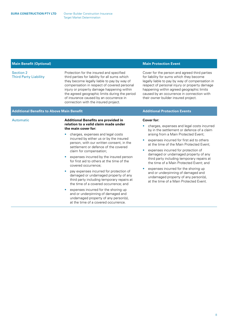| <b>Main Benefit (Optional)</b> |  |
|--------------------------------|--|
|--------------------------------|--|

#### Section 2 Third Party Liability

Protection for the insured and specified third parties for liability for all sums which they become legally liable to pay by way of compensation in respect of covered personal injury or property damage happening within the agreed geographic limits during the period of insurance caused by an occurrence in connection with the insured project.

### **Additional Benefits to Above Main Benefit Additional Protection Events**

#### Automatic **Additional Benefits are provided in relation to a valid claim made under the main cover for:**

- charges, expenses and legal costs incurred by either us or by the insured person, with our written consent, in the settlement or defence of the covered claim for compensation;
- expenses incurred by the insured person for first aid to others at the time of the covered occurrence;
- pay expenses incurred for protection of damaged or undamaged property of any third party including temporary repairs at the time of a covered occurrence; and
- expenses incurred for the shoring up and or underpinning of damaged and undamaged property of any person(s), at the time of a covered occurrence.

#### **Main Protection Event**

Cover for the person and agreed third parties for liability for sums which they become legally liable to pay by way of compensation in respect of personal injury or property damage happening within agreed geographic limits caused by an occurrence in connection with their owner builder insured project.

#### **Cover for:**

- charges, expenses and legal costs incurred by in the settlement or defence of a claim arising from a Main Protected Event;
- expenses incurred for first aid to others at the time of the Main Protected Event;
- expenses incurred for protection of damaged or undamaged property of any third party including temporary repairs at the time of a Main Protected Event; and
- expenses incurred for the shoring up and or underpinning of damaged and undamaged property of any person(s), at the time of a Main Protected Event.